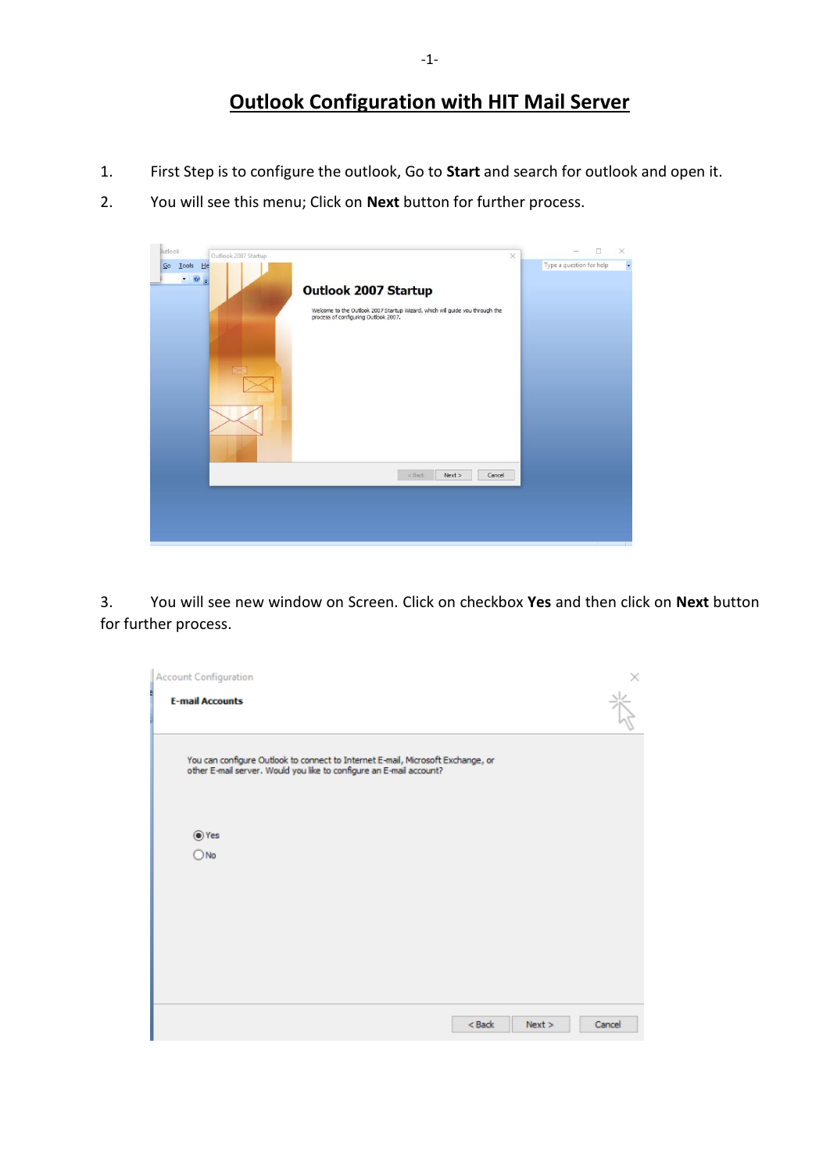## **Outlook Configuration with HIT Mail Server**

- 1. First Step is to configure the outlook, Go to **Start** and search for outlook and open it.
- 2. You will see this menu; Click on **Next** button for further process.



3. You will see new window on Screen. Click on checkbox **Yes** and then click on **Next** button for further process.

| Account Configuration                                                                                                                                  |                |
|--------------------------------------------------------------------------------------------------------------------------------------------------------|----------------|
| <b>E-mail Accounts</b>                                                                                                                                 | 놮              |
| You can configure Outlook to connect to Internet E-mail, Microsoft Exchange, or<br>other E-mail server. Would you like to configure an E-mail account? |                |
| $•$ Yes<br>$\bigcirc$ No                                                                                                                               |                |
|                                                                                                                                                        |                |
|                                                                                                                                                        |                |
| $<$ Back                                                                                                                                               | Next<br>Cancel |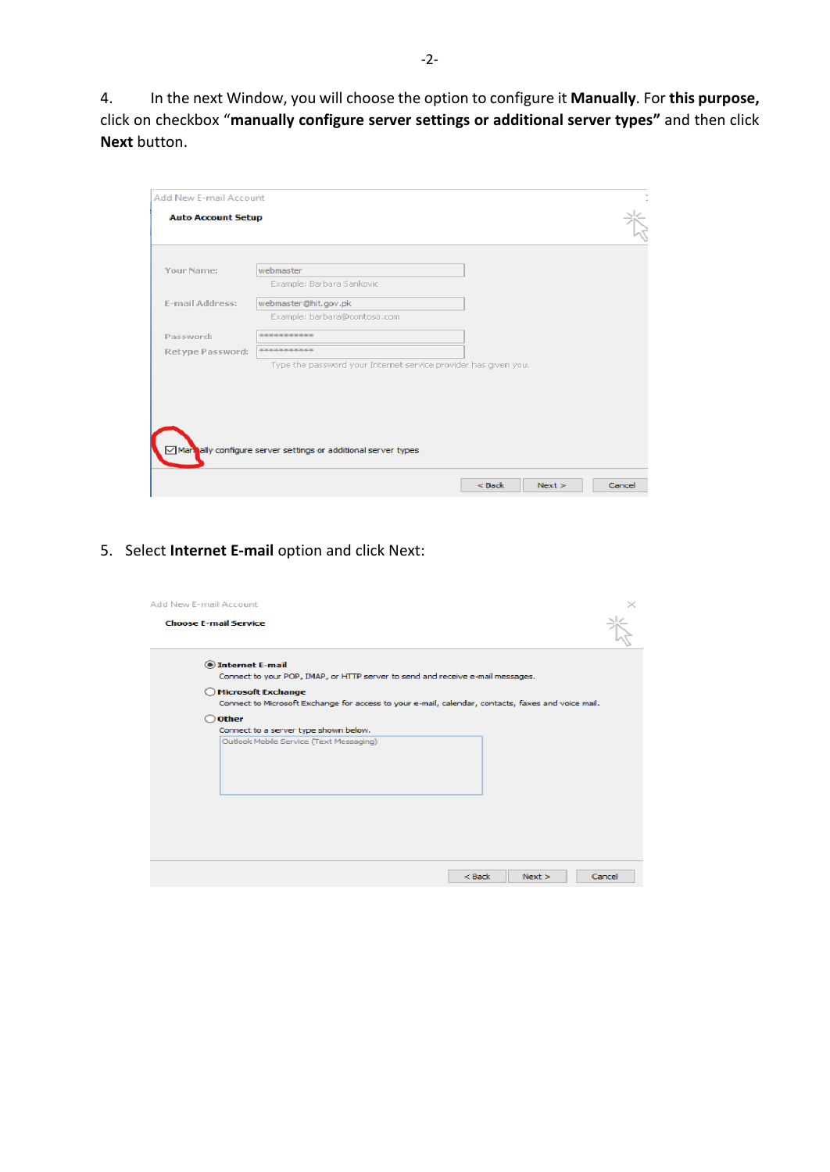4. In the next Window, you will choose the option to configure it **Manually**. For **this purpose,** click on checkbox "**manually configure server settings or additional server types"** and then click **Next** button.

| Add New E-mail Account    |                                                                 |  |
|---------------------------|-----------------------------------------------------------------|--|
| <b>Auto Account Setup</b> |                                                                 |  |
|                           |                                                                 |  |
| Your Name:                | webmaster                                                       |  |
|                           | Example: Barbara Sankovic                                       |  |
| E-mail Address:           | webmaster@hit.gov.pk                                            |  |
|                           | Example: barbara@contoso.com                                    |  |
| Password:                 | -----------                                                     |  |
| Retype Password:          | ***********                                                     |  |
|                           | Type the password your Internet service provider has given you. |  |
|                           |                                                                 |  |
|                           |                                                                 |  |
|                           |                                                                 |  |
|                           |                                                                 |  |
|                           |                                                                 |  |
|                           | Mannally configure server settings or additional server types   |  |
|                           | $<$ Back<br>Next<br>Cancel                                      |  |
|                           |                                                                 |  |

5. Select **Internet E-mail** option and click Next:

| Add New E-mail Account<br><b>Choose E-mail Service</b> |                                                                                                    | $\leq$ |
|--------------------------------------------------------|----------------------------------------------------------------------------------------------------|--------|
|                                                        | <b>O</b> Internet E-mail                                                                           |        |
|                                                        | Connect to your POP, IMAP, or HTTP server to send and receive e-mail messages.                     |        |
|                                                        | <b>Microsoft Exchange</b>                                                                          |        |
|                                                        | Connect to Microsoft Exchange for access to your e-mail, calendar, contacts, faxes and voice mail. |        |
| <b>Other</b>                                           |                                                                                                    |        |
|                                                        | Connect to a server type shown below.                                                              |        |
|                                                        | Outlook Mobile Service (Text Messaging)                                                            |        |
|                                                        |                                                                                                    |        |
|                                                        |                                                                                                    |        |
|                                                        |                                                                                                    |        |
|                                                        |                                                                                                    |        |
|                                                        |                                                                                                    |        |
|                                                        |                                                                                                    |        |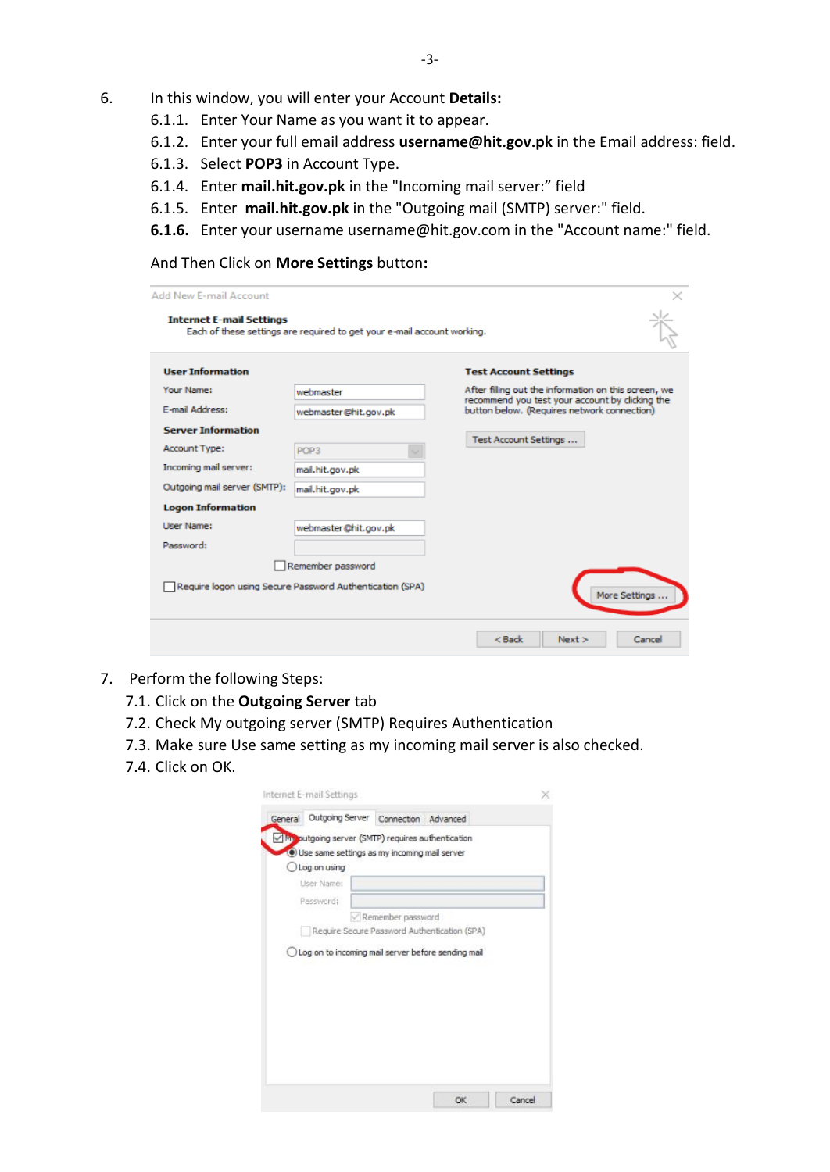- 6. In this window, you will enter your Account **Details:**
	- 6.1.1. Enter Your Name as you want it to appear.
	- 6.1.2. Enter your full email address **[username@hit.gov.pk](mailto:username@hit.gov.pk)** in the Email address: field.
	- 6.1.3. Select **POP3** in Account Type.
	- 6.1.4. Enter **mail.hit.gov.pk** in the "Incoming mail server:" field
	- 6.1.5. Enter **mail.hit.gov.pk** in the "Outgoing mail (SMTP) server:" field.
	- **6.1.6.** Enter your username username@hit.gov.com in the "Account name:" field.

## And Then Click on **More Settings** button**:**

| <b>User Information</b>      |                                                          | <b>Test Account Settings</b>                                                                           |
|------------------------------|----------------------------------------------------------|--------------------------------------------------------------------------------------------------------|
| Your Name:                   | webmaster                                                | After filing out the information on this screen, we<br>recommend you test your account by clicking the |
| E-mail Address:              | webmaster@hit.gov.pk                                     | button below. (Requires network connection)                                                            |
| <b>Server Information</b>    |                                                          |                                                                                                        |
| <b>Account Type:</b>         | POP <sub>3</sub>                                         | Test Account Settings                                                                                  |
| Incoming mail server:        | mail.hit.gov.pk                                          |                                                                                                        |
| Outgoing mail server (SMTP): | mail.hit.gov.pk                                          |                                                                                                        |
| <b>Logon Information</b>     |                                                          |                                                                                                        |
| Liser Name:                  | webmaster@hit.gov.pk                                     |                                                                                                        |
| Password:                    |                                                          |                                                                                                        |
|                              | Remember password                                        |                                                                                                        |
|                              | Require logon using Secure Password Authentication (SPA) |                                                                                                        |

- 7. Perform the following Steps:
	- 7.1. Click on the **Outgoing Server** tab
	- 7.2. Check My outgoing server (SMTP) Requires Authentication
	- 7.3. Make sure Use same setting as my incoming mail server is also checked.
	- 7.4. Click on OK.

| Monutgoing server (SMTP) requires authentication<br>· Use same settings as my incoming mail server |                   |                                              |  |
|----------------------------------------------------------------------------------------------------|-------------------|----------------------------------------------|--|
| Log on using                                                                                       |                   |                                              |  |
| User Name:                                                                                         |                   |                                              |  |
| Password:                                                                                          |                   |                                              |  |
|                                                                                                    | Remember password |                                              |  |
|                                                                                                    |                   | Require Secure Password Authentication (SPA) |  |
| O Log on to incoming mail server before sending mail                                               |                   |                                              |  |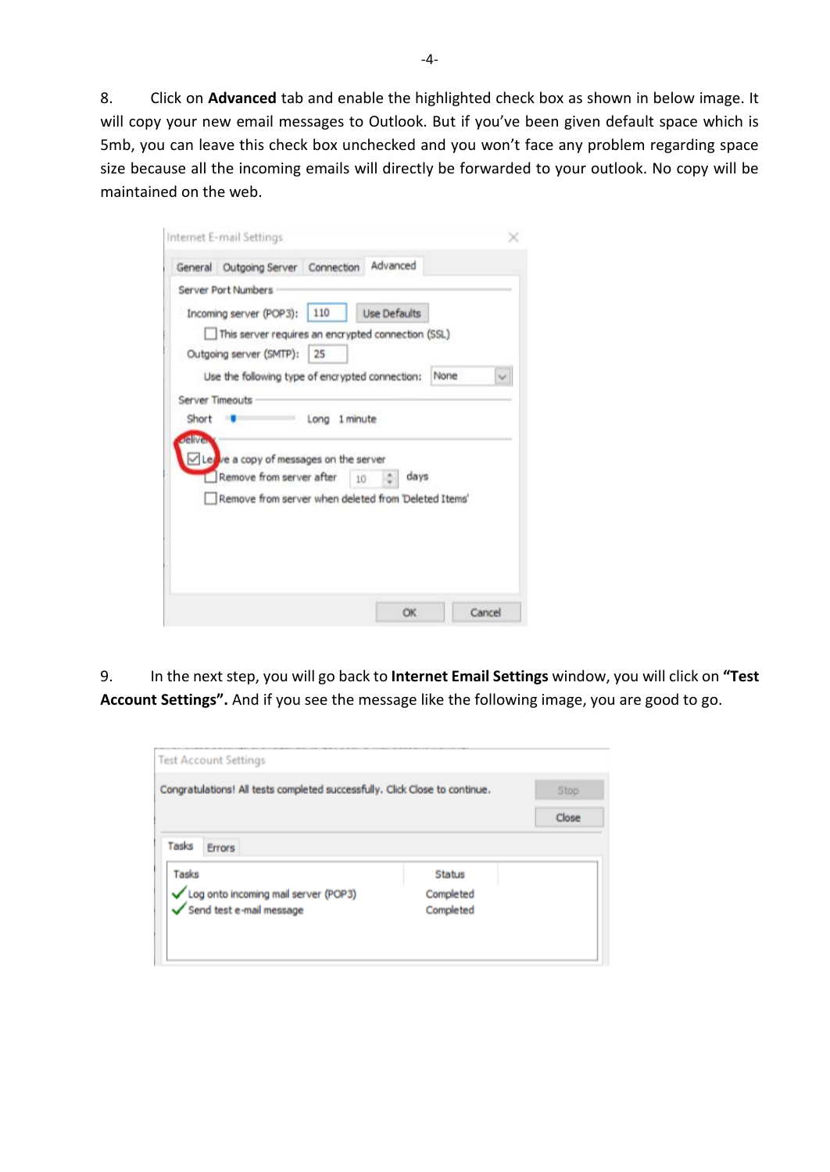8. Click on **Advanced** tab and enable the highlighted check box as shown in below image. It will copy your new email messages to Outlook. But if you've been given default space which is 5mb, you can leave this check box unchecked and you won't face any problem regarding space size because all the incoming emails will directly be forwarded to your outlook. No copy will be maintained on the web.

|             | Server Port Numbers                                  |      |              |      |  |
|-------------|------------------------------------------------------|------|--------------|------|--|
|             | Incoming server (POP3): 110                          |      | Use Defaults |      |  |
|             | This server requires an encrypted connection (SSL)   |      |              |      |  |
|             | Outgoing server (SMTP): 25                           |      |              |      |  |
|             | Use the following type of encrypted connection:      |      |              | None |  |
|             | Server Timeouts                                      |      |              |      |  |
| Short       |                                                      | Long | 1 minute     |      |  |
| <b>JAIM</b> |                                                      |      |              |      |  |
|             | $\angle$ Legive a copy of messages on the server     |      |              |      |  |
|             | Remove from server after                             |      | 10           | days |  |
|             | Remove from server when deleted from 'Deleted Items' |      |              |      |  |
|             |                                                      |      |              |      |  |
|             |                                                      |      |              |      |  |
|             |                                                      |      |              |      |  |
|             |                                                      |      |              |      |  |

9. In the next step, you will go back to **Internet Email Settings** window, you will click on **"Test Account Settings".** And if you see the message like the following image, you are good to go.

| Congratulations! All tests completed successfully. Click Close to continue. |               | Stop  |
|-----------------------------------------------------------------------------|---------------|-------|
|                                                                             |               | Close |
| Tasks<br><b>Errors</b>                                                      |               |       |
| Tasks                                                                       | <b>Status</b> |       |
|                                                                             |               |       |
| Log onto incoming mail server (POP3)                                        | Completed     |       |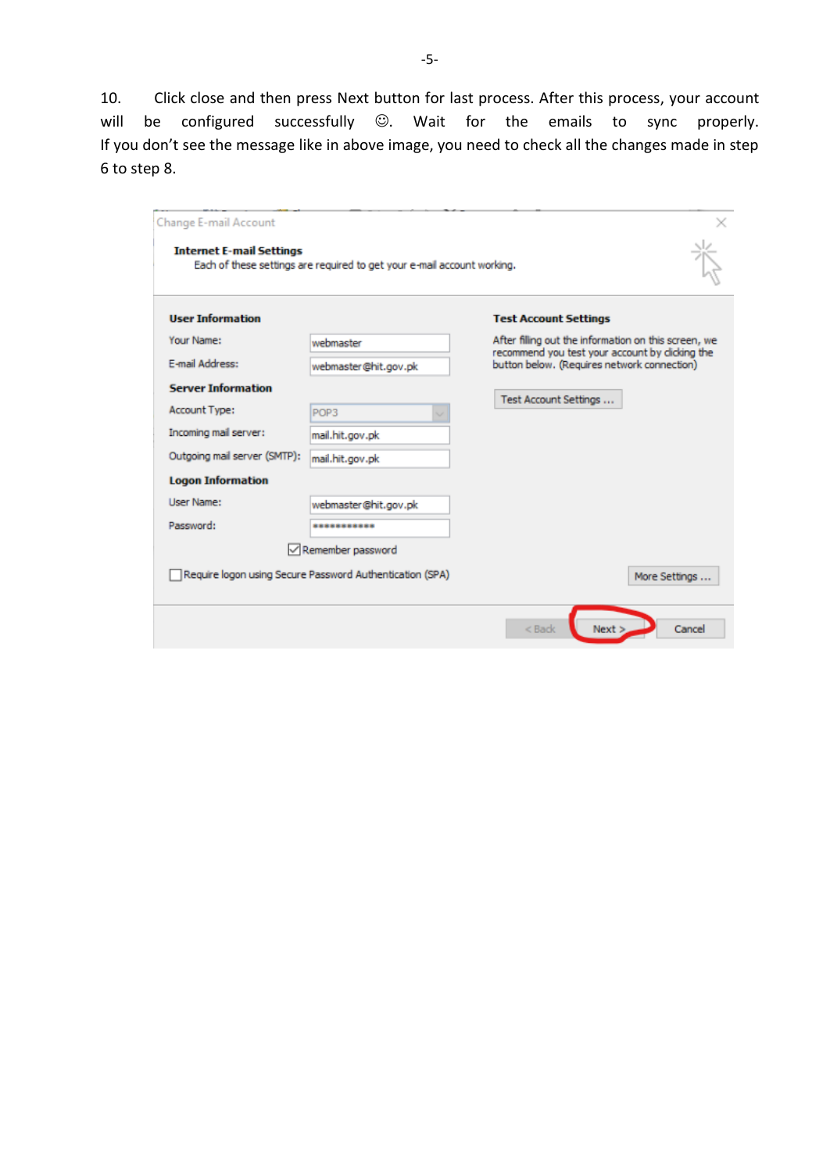10. Click close and then press Next button for last process. After this process, your account will be configured successfully  $\odot$ . Wait for the emails to sync properly. If you don't see the message like in above image, you need to check all the changes made in step 6 to step 8.

| Change E-mail Account           |                                                                         |                                                                                               |  |  |
|---------------------------------|-------------------------------------------------------------------------|-----------------------------------------------------------------------------------------------|--|--|
| <b>Internet E-mail Settings</b> | Each of these settings are required to get your e-mail account working. |                                                                                               |  |  |
| <b>User Information</b>         |                                                                         | <b>Test Account Settings</b>                                                                  |  |  |
| Your Name:                      | webmaster                                                               | After filling out the information on this screen, we                                          |  |  |
| E-mail Address:                 | webmaster@hit.gov.pk                                                    | recommend you test your account by dicking the<br>button below. (Requires network connection) |  |  |
| <b>Server Information</b>       |                                                                         | Test Account Settings                                                                         |  |  |
| Account Type:                   | POP3                                                                    |                                                                                               |  |  |
| Incoming mail server:           | mail.hit.gov.pk                                                         |                                                                                               |  |  |
| Outgoing mail server (SMTP):    | mail.hit.gov.pk                                                         |                                                                                               |  |  |
| <b>Logon Information</b>        |                                                                         |                                                                                               |  |  |
| <b>User Name:</b>               | webmaster@hit.gov.pk                                                    |                                                                                               |  |  |
| Password:                       | ***********                                                             |                                                                                               |  |  |
|                                 | $\sqrt{}$ Remember password                                             |                                                                                               |  |  |
|                                 | Require logon using Secure Password Authentication (SPA)                | More Settings                                                                                 |  |  |
|                                 |                                                                         | $<$ Back<br>Next:<br>Cancel                                                                   |  |  |